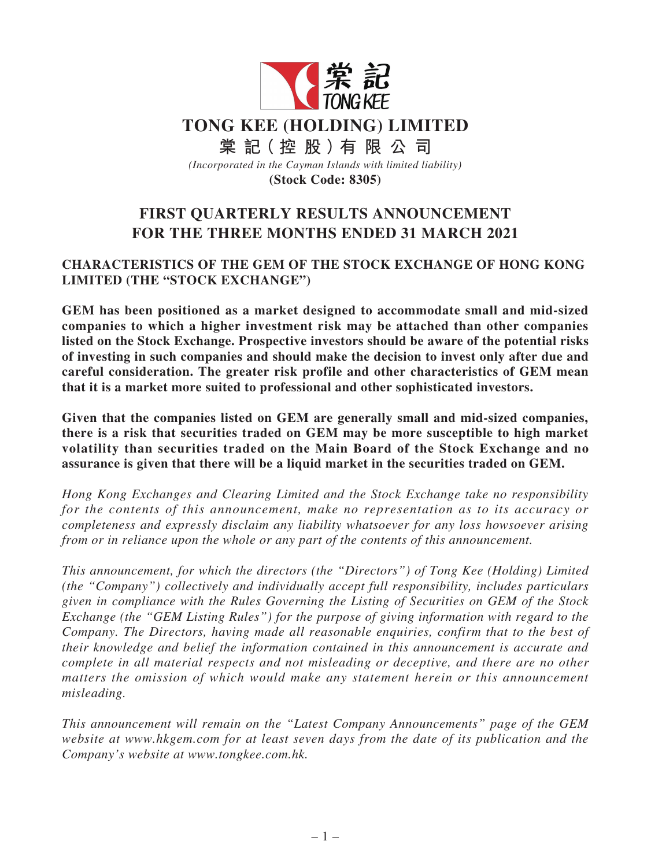

# **FIRST QUARTERLY RESULTS ANNOUNCEMENT FOR THE THREE MONTHS ENDED 31 MARCH 2021**

## **CHARACTERISTICS OF THE GEM OF THE STOCK EXCHANGE OF HONG KONG LIMITED (THE "STOCK EXCHANGE")**

**GEM has been positioned as a market designed to accommodate small and mid-sized companies to which a higher investment risk may be attached than other companies listed on the Stock Exchange. Prospective investors should be aware of the potential risks of investing in such companies and should make the decision to invest only after due and careful consideration. The greater risk profile and other characteristics of GEM mean that it is a market more suited to professional and other sophisticated investors.**

**Given that the companies listed on GEM are generally small and mid-sized companies, there is a risk that securities traded on GEM may be more susceptible to high market volatility than securities traded on the Main Board of the Stock Exchange and no assurance is given that there will be a liquid market in the securities traded on GEM.**

*Hong Kong Exchanges and Clearing Limited and the Stock Exchange take no responsibility for the contents of this announcement, make no representation as to its accuracy or completeness and expressly disclaim any liability whatsoever for any loss howsoever arising from or in reliance upon the whole or any part of the contents of this announcement.*

*This announcement, for which the directors (the "Directors") of Tong Kee (Holding) Limited (the "Company") collectively and individually accept full responsibility, includes particulars given in compliance with the Rules Governing the Listing of Securities on GEM of the Stock Exchange (the "GEM Listing Rules") for the purpose of giving information with regard to the Company. The Directors, having made all reasonable enquiries, confirm that to the best of their knowledge and belief the information contained in this announcement is accurate and complete in all material respects and not misleading or deceptive, and there are no other matters the omission of which would make any statement herein or this announcement misleading.*

*This announcement will remain on the "Latest Company Announcements" page of the GEM website at www.hkgem.com for at least seven days from the date of its publication and the Company's website at www.tongkee.com.hk.*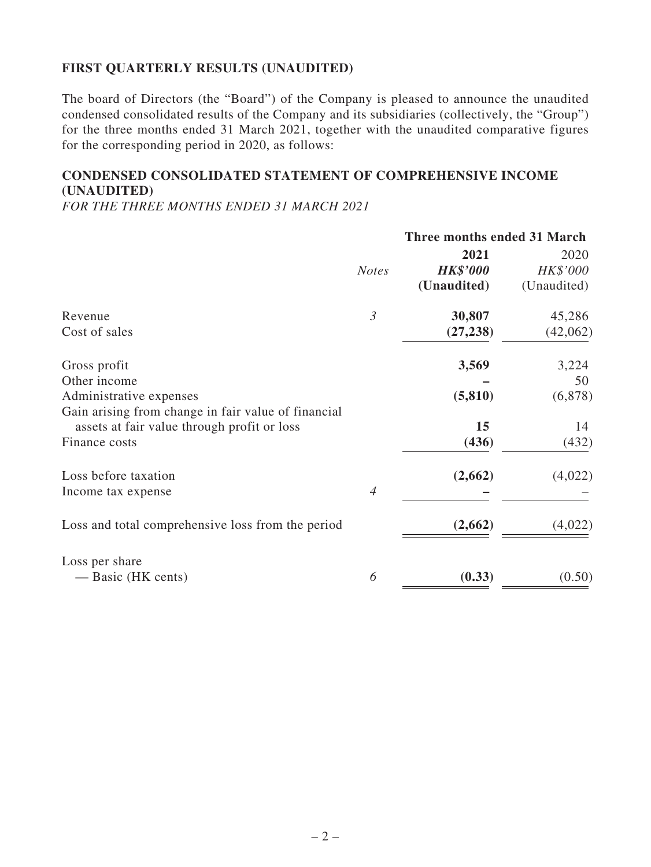## **FIRST QUARTERLY RESULTS (UNAUDITED)**

The board of Directors (the "Board") of the Company is pleased to announce the unaudited condensed consolidated results of the Company and its subsidiaries (collectively, the "Group") for the three months ended 31 March 2021, together with the unaudited comparative figures for the corresponding period in 2020, as follows:

## **CONDENSED CONSOLIDATED STATEMENT OF COMPREHENSIVE INCOME (UNAUDITED)**

*FOR THE THREE MONTHS ENDED 31 MARCH 2021*

|                                                     |                | Three months ended 31 March |             |  |
|-----------------------------------------------------|----------------|-----------------------------|-------------|--|
|                                                     |                | 2021                        | 2020        |  |
|                                                     | <b>Notes</b>   | <b>HK\$'000</b>             | HK\$'000    |  |
|                                                     |                | (Unaudited)                 | (Unaudited) |  |
| Revenue                                             | $\mathfrak{Z}$ | 30,807                      | 45,286      |  |
| Cost of sales                                       |                | (27, 238)                   | (42,062)    |  |
| Gross profit                                        |                | 3,569                       | 3,224       |  |
| Other income                                        |                |                             | 50          |  |
| Administrative expenses                             |                | (5, 810)                    | (6,878)     |  |
| Gain arising from change in fair value of financial |                |                             |             |  |
| assets at fair value through profit or loss         |                | 15                          | 14          |  |
| Finance costs                                       |                | (436)                       | (432)       |  |
| Loss before taxation                                |                | (2,662)                     | (4,022)     |  |
| Income tax expense                                  | $\overline{4}$ |                             |             |  |
| Loss and total comprehensive loss from the period   |                | (2,662)                     | (4,022)     |  |
|                                                     |                |                             |             |  |
| Loss per share                                      |                |                             |             |  |
| — Basic (HK cents)                                  | 6              | (0.33)                      | (0.50)      |  |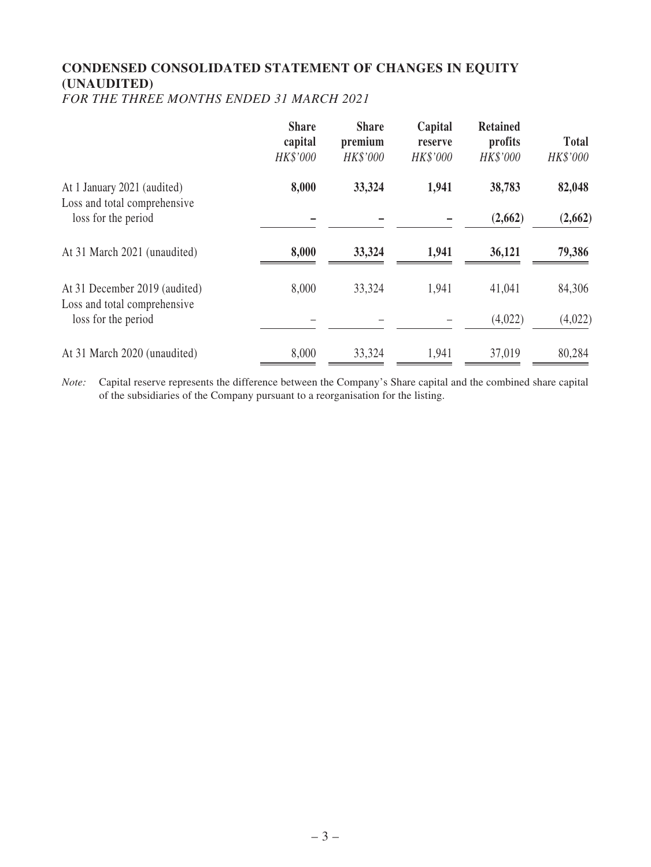# **CONDENSED CONSOLIDATED STATEMENT OF CHANGES IN EQUITY (UNAUDITED)**

*FOR THE THREE MONTHS ENDED 31 MARCH 2021*

|                                                               | <b>Share</b><br>capital<br>HK\$'000 | <b>Share</b><br>premium<br>HK\$'000 | Capital<br>reserve<br><b>HK\$'000</b> | <b>Retained</b><br>profits<br>HK\$'000 | <b>Total</b><br>HK\$'000 |
|---------------------------------------------------------------|-------------------------------------|-------------------------------------|---------------------------------------|----------------------------------------|--------------------------|
| At 1 January 2021 (audited)<br>Loss and total comprehensive   | 8,000                               | 33,324                              | 1,941                                 | 38,783                                 | 82,048                   |
| loss for the period                                           |                                     |                                     |                                       | (2,662)                                | (2,662)                  |
| At 31 March 2021 (unaudited)                                  | 8,000                               | 33,324                              | 1,941                                 | 36,121                                 | 79,386                   |
| At 31 December 2019 (audited)<br>Loss and total comprehensive | 8,000                               | 33,324                              | 1,941                                 | 41,041                                 | 84,306                   |
| loss for the period                                           |                                     |                                     |                                       | (4,022)                                | (4,022)                  |
| At 31 March 2020 (unaudited)                                  | 8,000                               | 33,324                              | 1,941                                 | 37,019                                 | 80,284                   |

*Note:* Capital reserve represents the difference between the Company's Share capital and the combined share capital of the subsidiaries of the Company pursuant to a reorganisation for the listing.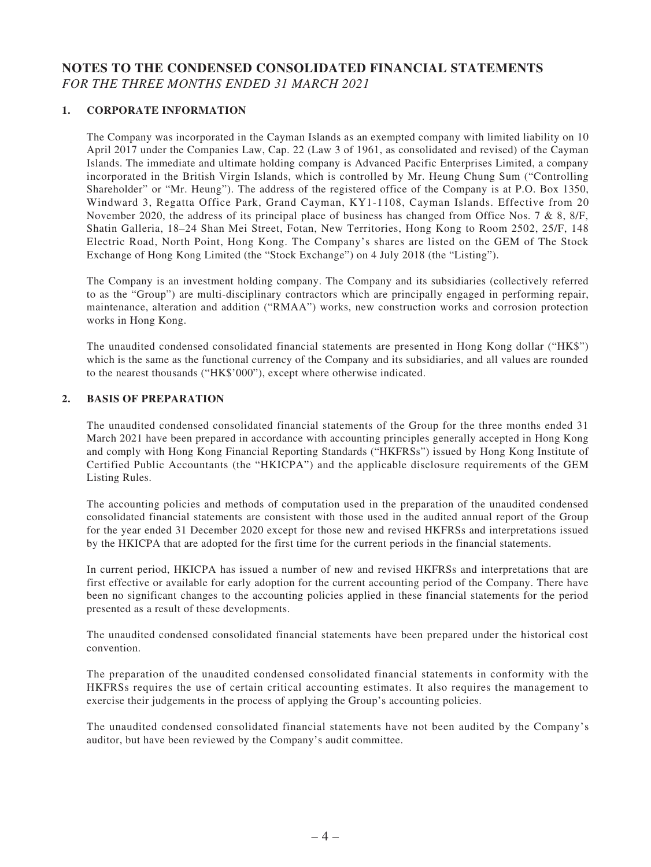## **NOTES TO THE CONDENSED CONSOLIDATED FINANCIAL STATEMENTS** *FOR THE THREE MONTHS ENDED 31 MARCH 2021*

#### **1. CORPORATE INFORMATION**

The Company was incorporated in the Cayman Islands as an exempted company with limited liability on 10 April 2017 under the Companies Law, Cap. 22 (Law 3 of 1961, as consolidated and revised) of the Cayman Islands. The immediate and ultimate holding company is Advanced Pacific Enterprises Limited, a company incorporated in the British Virgin Islands, which is controlled by Mr. Heung Chung Sum ("Controlling Shareholder" or "Mr. Heung"). The address of the registered office of the Company is at P.O. Box 1350, Windward 3, Regatta Office Park, Grand Cayman, KY1-1108, Cayman Islands. Effective from 20 November 2020, the address of its principal place of business has changed from Office Nos. 7 & 8, 8/F, Shatin Galleria, 18–24 Shan Mei Street, Fotan, New Territories, Hong Kong to Room 2502, 25/F, 148 Electric Road, North Point, Hong Kong. The Company's shares are listed on the GEM of The Stock Exchange of Hong Kong Limited (the "Stock Exchange") on 4 July 2018 (the "Listing").

The Company is an investment holding company. The Company and its subsidiaries (collectively referred to as the "Group") are multi-disciplinary contractors which are principally engaged in performing repair, maintenance, alteration and addition ("RMAA") works, new construction works and corrosion protection works in Hong Kong.

The unaudited condensed consolidated financial statements are presented in Hong Kong dollar ("HK\$") which is the same as the functional currency of the Company and its subsidiaries, and all values are rounded to the nearest thousands ("HK\$'000"), except where otherwise indicated.

#### **2. BASIS OF PREPARATION**

The unaudited condensed consolidated financial statements of the Group for the three months ended 31 March 2021 have been prepared in accordance with accounting principles generally accepted in Hong Kong and comply with Hong Kong Financial Reporting Standards ("HKFRSs") issued by Hong Kong Institute of Certified Public Accountants (the "HKICPA") and the applicable disclosure requirements of the GEM Listing Rules.

The accounting policies and methods of computation used in the preparation of the unaudited condensed consolidated financial statements are consistent with those used in the audited annual report of the Group for the year ended 31 December 2020 except for those new and revised HKFRSs and interpretations issued by the HKICPA that are adopted for the first time for the current periods in the financial statements.

In current period, HKICPA has issued a number of new and revised HKFRSs and interpretations that are first effective or available for early adoption for the current accounting period of the Company. There have been no significant changes to the accounting policies applied in these financial statements for the period presented as a result of these developments.

The unaudited condensed consolidated financial statements have been prepared under the historical cost convention.

The preparation of the unaudited condensed consolidated financial statements in conformity with the HKFRSs requires the use of certain critical accounting estimates. It also requires the management to exercise their judgements in the process of applying the Group's accounting policies.

The unaudited condensed consolidated financial statements have not been audited by the Company's auditor, but have been reviewed by the Company's audit committee.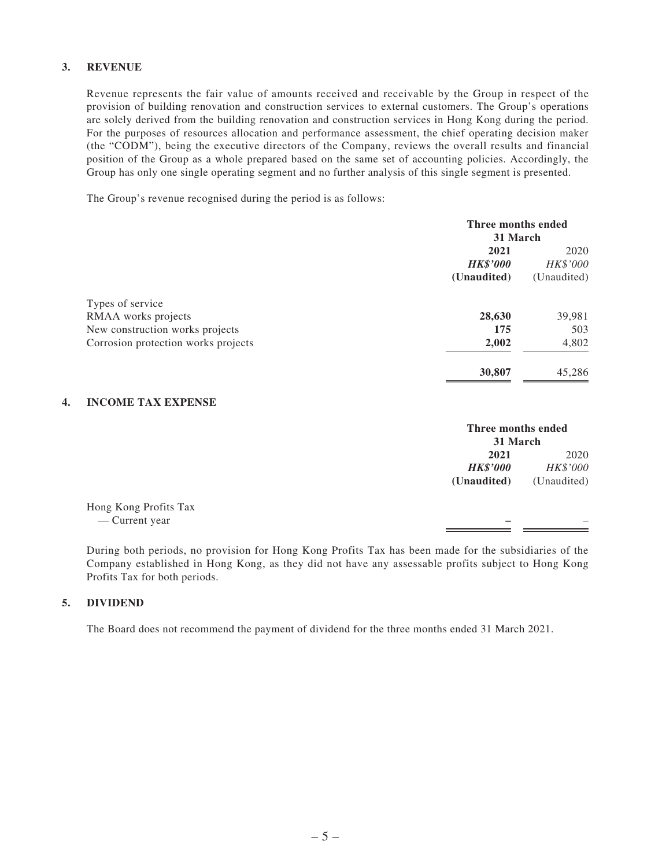#### **3. REVENUE**

Revenue represents the fair value of amounts received and receivable by the Group in respect of the provision of building renovation and construction services to external customers. The Group's operations are solely derived from the building renovation and construction services in Hong Kong during the period. For the purposes of resources allocation and performance assessment, the chief operating decision maker (the "CODM"), being the executive directors of the Company, reviews the overall results and financial position of the Group as a whole prepared based on the same set of accounting policies. Accordingly, the Group has only one single operating segment and no further analysis of this single segment is presented.

The Group's revenue recognised during the period is as follows:

|                                     | Three months ended |             |
|-------------------------------------|--------------------|-------------|
|                                     | 31 March           |             |
|                                     | 2021               | 2020        |
|                                     | <b>HK\$'000</b>    | HK\$'000    |
|                                     | (Unaudited)        | (Unaudited) |
| Types of service                    |                    |             |
| RMAA works projects                 | 28,630             | 39,981      |
| New construction works projects     | 175                | 503         |
| Corrosion protection works projects | 2,002              | 4,802       |
|                                     | 30,807             | 45,286      |
|                                     |                    |             |

#### **4. INCOME TAX EXPENSE**

|                       |                 | Three months ended<br>31 March |  |
|-----------------------|-----------------|--------------------------------|--|
|                       | 2021            | 2020                           |  |
|                       | <b>HK\$'000</b> | HK\$'000                       |  |
|                       | (Unaudited)     | (Unaudited)                    |  |
| Hong Kong Profits Tax |                 |                                |  |
| — Current year        |                 |                                |  |
|                       |                 |                                |  |

During both periods, no provision for Hong Kong Profits Tax has been made for the subsidiaries of the Company established in Hong Kong, as they did not have any assessable profits subject to Hong Kong Profits Tax for both periods.

#### **5. DIVIDEND**

The Board does not recommend the payment of dividend for the three months ended 31 March 2021.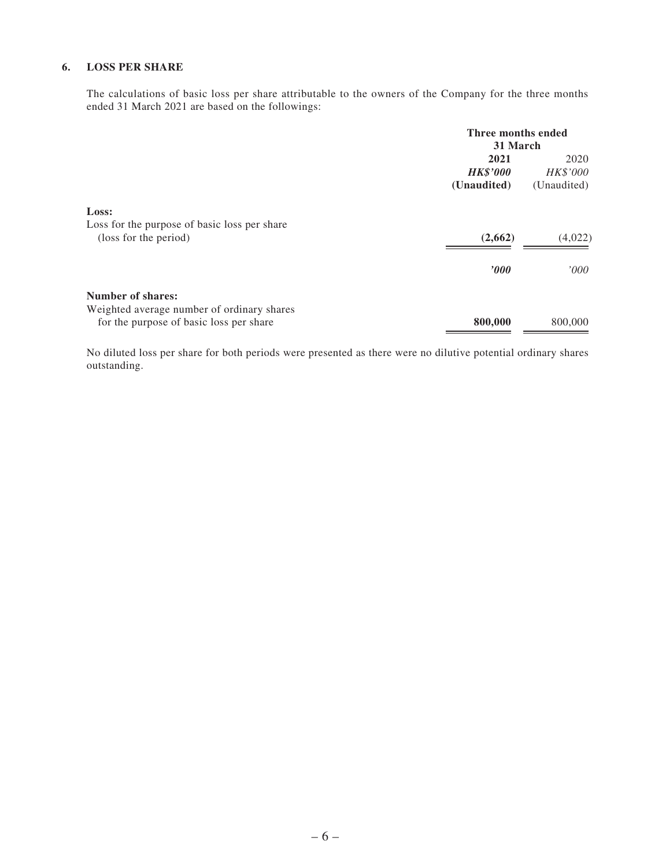#### **6. LOSS PER SHARE**

The calculations of basic loss per share attributable to the owners of the Company for the three months ended 31 March 2021 are based on the followings:

|                                              | Three months ended |                 |
|----------------------------------------------|--------------------|-----------------|
|                                              | 31 March           |                 |
|                                              | 2021               | 2020            |
|                                              | <b>HK\$'000</b>    | <b>HK\$'000</b> |
|                                              | (Unaudited)        | (Unaudited)     |
| Loss:                                        |                    |                 |
| Loss for the purpose of basic loss per share |                    |                 |
| (loss for the period)                        | (2,662)            | (4,022)         |
|                                              | $\bm{v}$           | 000'            |
| <b>Number of shares:</b>                     |                    |                 |
| Weighted average number of ordinary shares   |                    |                 |
| for the purpose of basic loss per share      | 800,000            | 800,000         |

No diluted loss per share for both periods were presented as there were no dilutive potential ordinary shares outstanding.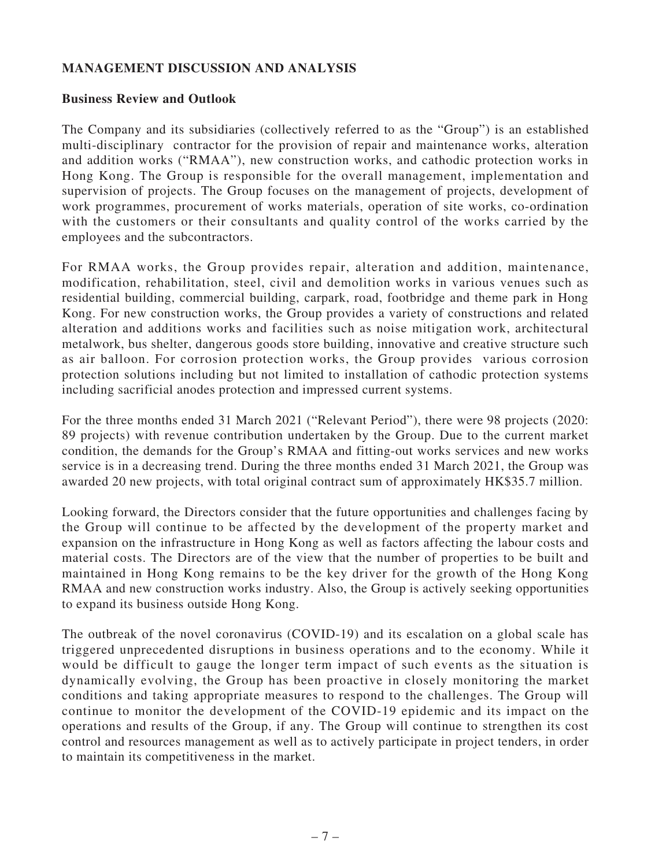## **MANAGEMENT DISCUSSION AND ANALYSIS**

## **Business Review and Outlook**

The Company and its subsidiaries (collectively referred to as the "Group") is an established multi-disciplinary contractor for the provision of repair and maintenance works, alteration and addition works ("RMAA"), new construction works, and cathodic protection works in Hong Kong. The Group is responsible for the overall management, implementation and supervision of projects. The Group focuses on the management of projects, development of work programmes, procurement of works materials, operation of site works, co-ordination with the customers or their consultants and quality control of the works carried by the employees and the subcontractors.

For RMAA works, the Group provides repair, alteration and addition, maintenance, modification, rehabilitation, steel, civil and demolition works in various venues such as residential building, commercial building, carpark, road, footbridge and theme park in Hong Kong. For new construction works, the Group provides a variety of constructions and related alteration and additions works and facilities such as noise mitigation work, architectural metalwork, bus shelter, dangerous goods store building, innovative and creative structure such as air balloon. For corrosion protection works, the Group provides various corrosion protection solutions including but not limited to installation of cathodic protection systems including sacrificial anodes protection and impressed current systems.

For the three months ended 31 March 2021 ("Relevant Period"), there were 98 projects (2020: 89 projects) with revenue contribution undertaken by the Group. Due to the current market condition, the demands for the Group's RMAA and fitting-out works services and new works service is in a decreasing trend. During the three months ended 31 March 2021, the Group was awarded 20 new projects, with total original contract sum of approximately HK\$35.7 million.

Looking forward, the Directors consider that the future opportunities and challenges facing by the Group will continue to be affected by the development of the property market and expansion on the infrastructure in Hong Kong as well as factors affecting the labour costs and material costs. The Directors are of the view that the number of properties to be built and maintained in Hong Kong remains to be the key driver for the growth of the Hong Kong RMAA and new construction works industry. Also, the Group is actively seeking opportunities to expand its business outside Hong Kong.

The outbreak of the novel coronavirus (COVID-19) and its escalation on a global scale has triggered unprecedented disruptions in business operations and to the economy. While it would be difficult to gauge the longer term impact of such events as the situation is dynamically evolving, the Group has been proactive in closely monitoring the market conditions and taking appropriate measures to respond to the challenges. The Group will continue to monitor the development of the COVID-19 epidemic and its impact on the operations and results of the Group, if any. The Group will continue to strengthen its cost control and resources management as well as to actively participate in project tenders, in order to maintain its competitiveness in the market.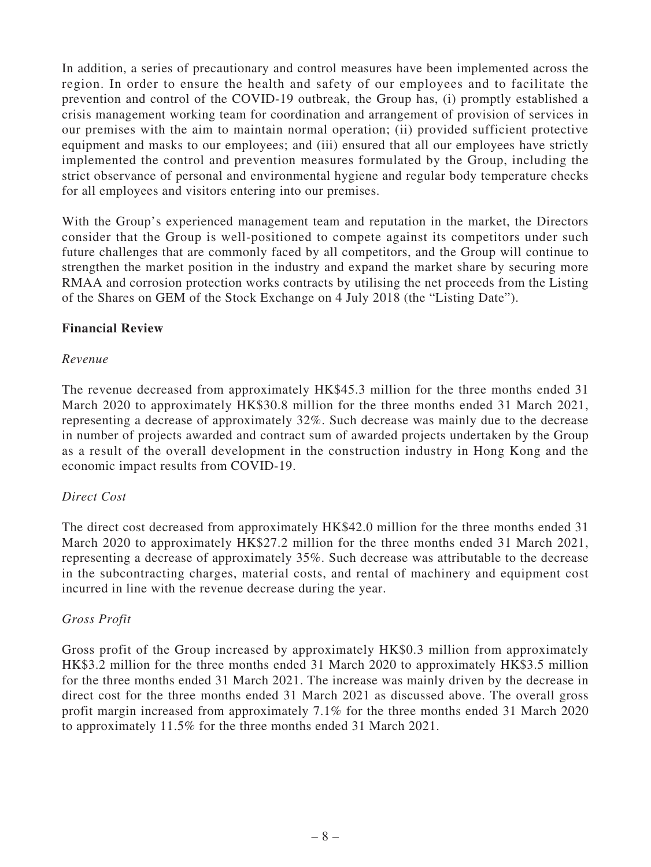In addition, a series of precautionary and control measures have been implemented across the region. In order to ensure the health and safety of our employees and to facilitate the prevention and control of the COVID-19 outbreak, the Group has, (i) promptly established a crisis management working team for coordination and arrangement of provision of services in our premises with the aim to maintain normal operation; (ii) provided sufficient protective equipment and masks to our employees; and (iii) ensured that all our employees have strictly implemented the control and prevention measures formulated by the Group, including the strict observance of personal and environmental hygiene and regular body temperature checks for all employees and visitors entering into our premises.

With the Group's experienced management team and reputation in the market, the Directors consider that the Group is well-positioned to compete against its competitors under such future challenges that are commonly faced by all competitors, and the Group will continue to strengthen the market position in the industry and expand the market share by securing more RMAA and corrosion protection works contracts by utilising the net proceeds from the Listing of the Shares on GEM of the Stock Exchange on 4 July 2018 (the "Listing Date").

## **Financial Review**

## *Revenue*

The revenue decreased from approximately HK\$45.3 million for the three months ended 31 March 2020 to approximately HK\$30.8 million for the three months ended 31 March 2021, representing a decrease of approximately 32%. Such decrease was mainly due to the decrease in number of projects awarded and contract sum of awarded projects undertaken by the Group as a result of the overall development in the construction industry in Hong Kong and the economic impact results from COVID-19.

### *Direct Cost*

The direct cost decreased from approximately HK\$42.0 million for the three months ended 31 March 2020 to approximately HK\$27.2 million for the three months ended 31 March 2021, representing a decrease of approximately 35%. Such decrease was attributable to the decrease in the subcontracting charges, material costs, and rental of machinery and equipment cost incurred in line with the revenue decrease during the year.

### *Gross Profit*

Gross profit of the Group increased by approximately HK\$0.3 million from approximately HK\$3.2 million for the three months ended 31 March 2020 to approximately HK\$3.5 million for the three months ended 31 March 2021. The increase was mainly driven by the decrease in direct cost for the three months ended 31 March 2021 as discussed above. The overall gross profit margin increased from approximately 7.1% for the three months ended 31 March 2020 to approximately 11.5% for the three months ended 31 March 2021.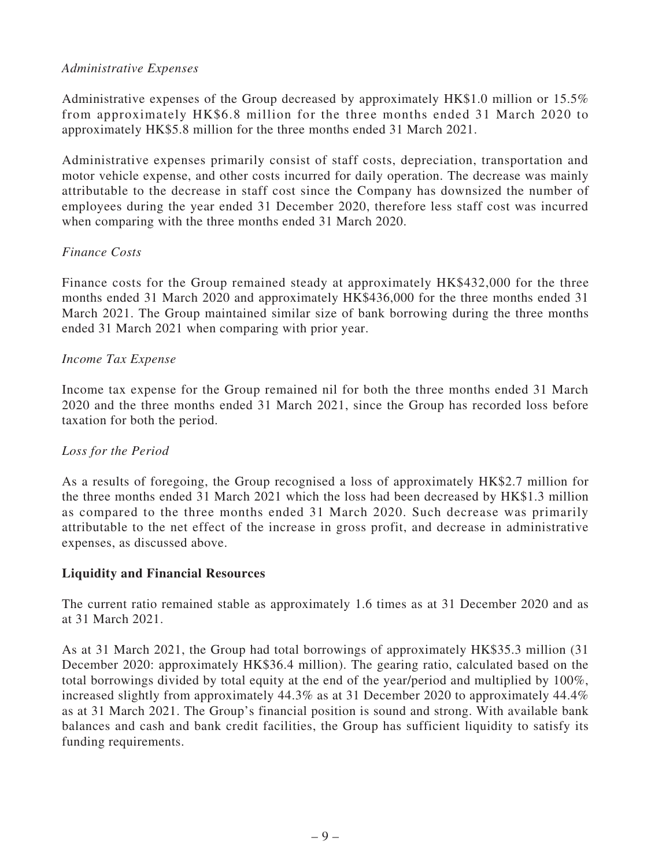## *Administrative Expenses*

Administrative expenses of the Group decreased by approximately HK\$1.0 million or 15.5% from approximately HK\$6.8 million for the three months ended 31 March 2020 to approximately HK\$5.8 million for the three months ended 31 March 2021.

Administrative expenses primarily consist of staff costs, depreciation, transportation and motor vehicle expense, and other costs incurred for daily operation. The decrease was mainly attributable to the decrease in staff cost since the Company has downsized the number of employees during the year ended 31 December 2020, therefore less staff cost was incurred when comparing with the three months ended 31 March 2020.

## *Finance Costs*

Finance costs for the Group remained steady at approximately HK\$432,000 for the three months ended 31 March 2020 and approximately HK\$436,000 for the three months ended 31 March 2021. The Group maintained similar size of bank borrowing during the three months ended 31 March 2021 when comparing with prior year.

## *Income Tax Expense*

Income tax expense for the Group remained nil for both the three months ended 31 March 2020 and the three months ended 31 March 2021, since the Group has recorded loss before taxation for both the period.

## *Loss for the Period*

As a results of foregoing, the Group recognised a loss of approximately HK\$2.7 million for the three months ended 31 March 2021 which the loss had been decreased by HK\$1.3 million as compared to the three months ended 31 March 2020. Such decrease was primarily attributable to the net effect of the increase in gross profit, and decrease in administrative expenses, as discussed above.

### **Liquidity and Financial Resources**

The current ratio remained stable as approximately 1.6 times as at 31 December 2020 and as at 31 March 2021.

As at 31 March 2021, the Group had total borrowings of approximately HK\$35.3 million (31 December 2020: approximately HK\$36.4 million). The gearing ratio, calculated based on the total borrowings divided by total equity at the end of the year/period and multiplied by 100%, increased slightly from approximately 44.3% as at 31 December 2020 to approximately 44.4% as at 31 March 2021. The Group's financial position is sound and strong. With available bank balances and cash and bank credit facilities, the Group has sufficient liquidity to satisfy its funding requirements.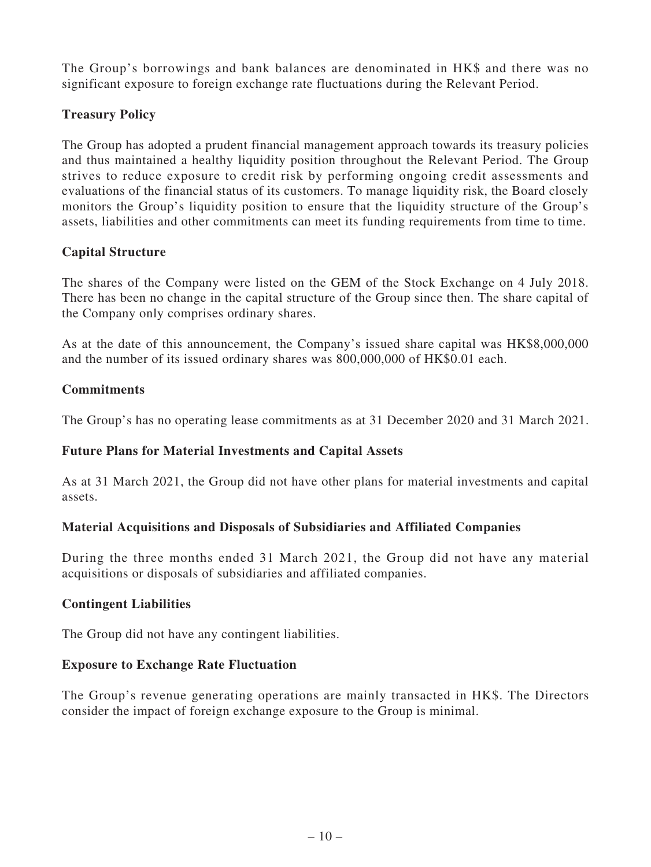The Group's borrowings and bank balances are denominated in HK\$ and there was no significant exposure to foreign exchange rate fluctuations during the Relevant Period.

## **Treasury Policy**

The Group has adopted a prudent financial management approach towards its treasury policies and thus maintained a healthy liquidity position throughout the Relevant Period. The Group strives to reduce exposure to credit risk by performing ongoing credit assessments and evaluations of the financial status of its customers. To manage liquidity risk, the Board closely monitors the Group's liquidity position to ensure that the liquidity structure of the Group's assets, liabilities and other commitments can meet its funding requirements from time to time.

## **Capital Structure**

The shares of the Company were listed on the GEM of the Stock Exchange on 4 July 2018. There has been no change in the capital structure of the Group since then. The share capital of the Company only comprises ordinary shares.

As at the date of this announcement, the Company's issued share capital was HK\$8,000,000 and the number of its issued ordinary shares was 800,000,000 of HK\$0.01 each.

## **Commitments**

The Group's has no operating lease commitments as at 31 December 2020 and 31 March 2021.

## **Future Plans for Material Investments and Capital Assets**

As at 31 March 2021, the Group did not have other plans for material investments and capital assets.

## **Material Acquisitions and Disposals of Subsidiaries and Affiliated Companies**

During the three months ended 31 March 2021, the Group did not have any material acquisitions or disposals of subsidiaries and affiliated companies.

## **Contingent Liabilities**

The Group did not have any contingent liabilities.

## **Exposure to Exchange Rate Fluctuation**

The Group's revenue generating operations are mainly transacted in HK\$. The Directors consider the impact of foreign exchange exposure to the Group is minimal.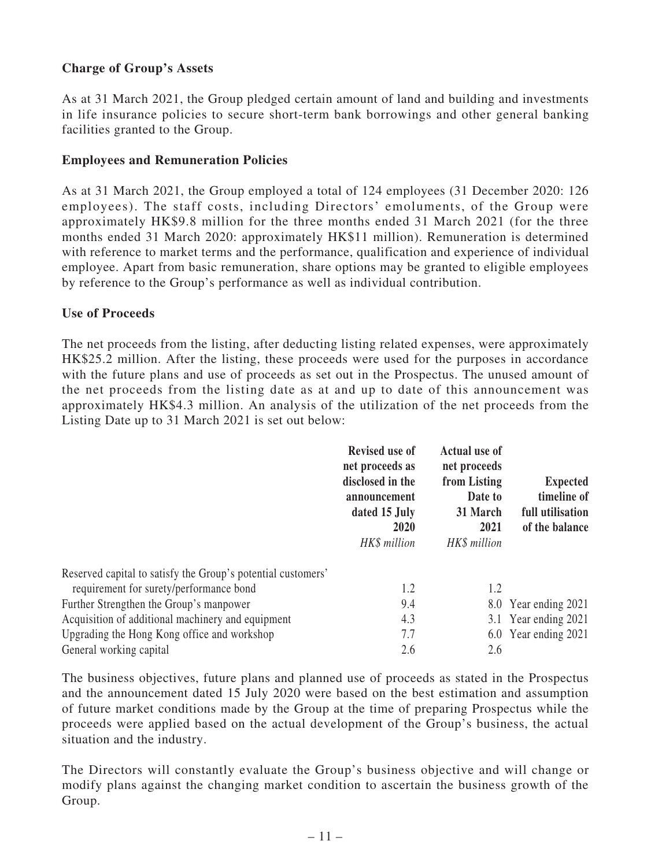## **Charge of Group's Assets**

As at 31 March 2021, the Group pledged certain amount of land and building and investments in life insurance policies to secure short-term bank borrowings and other general banking facilities granted to the Group.

## **Employees and Remuneration Policies**

As at 31 March 2021, the Group employed a total of 124 employees (31 December 2020: 126 employees). The staff costs, including Directors' emoluments, of the Group were approximately HK\$9.8 million for the three months ended 31 March 2021 (for the three months ended 31 March 2020: approximately HK\$11 million). Remuneration is determined with reference to market terms and the performance, qualification and experience of individual employee. Apart from basic remuneration, share options may be granted to eligible employees by reference to the Group's performance as well as individual contribution.

## **Use of Proceeds**

The net proceeds from the listing, after deducting listing related expenses, were approximately HK\$25.2 million. After the listing, these proceeds were used for the purposes in accordance with the future plans and use of proceeds as set out in the Prospectus. The unused amount of the net proceeds from the listing date as at and up to date of this announcement was approximately HK\$4.3 million. An analysis of the utilization of the net proceeds from the Listing Date up to 31 March 2021 is set out below:

|                                                              | <b>Revised use of</b><br>net proceeds as<br>disclosed in the<br>announcement<br>dated 15 July<br>2020<br>HK\$ million | <b>Actual use of</b><br>net proceeds<br>from Listing<br>Date to<br>31 March<br>2021<br>HK\$ million | <b>Expected</b><br>timeline of<br>full utilisation<br>of the balance |
|--------------------------------------------------------------|-----------------------------------------------------------------------------------------------------------------------|-----------------------------------------------------------------------------------------------------|----------------------------------------------------------------------|
| Reserved capital to satisfy the Group's potential customers' |                                                                                                                       |                                                                                                     |                                                                      |
| requirement for surety/performance bond                      | 1.2                                                                                                                   | 1.2                                                                                                 |                                                                      |
| Further Strengthen the Group's manpower                      | 9.4                                                                                                                   |                                                                                                     | 8.0 Year ending 2021                                                 |
| Acquisition of additional machinery and equipment            | 4.3                                                                                                                   |                                                                                                     | 3.1 Year ending 2021                                                 |
| Upgrading the Hong Kong office and workshop                  | 7.7                                                                                                                   |                                                                                                     | 6.0 Year ending 2021                                                 |
| General working capital                                      | 2.6                                                                                                                   | 2.6                                                                                                 |                                                                      |

The business objectives, future plans and planned use of proceeds as stated in the Prospectus and the announcement dated 15 July 2020 were based on the best estimation and assumption of future market conditions made by the Group at the time of preparing Prospectus while the proceeds were applied based on the actual development of the Group's business, the actual situation and the industry.

The Directors will constantly evaluate the Group's business objective and will change or modify plans against the changing market condition to ascertain the business growth of the Group.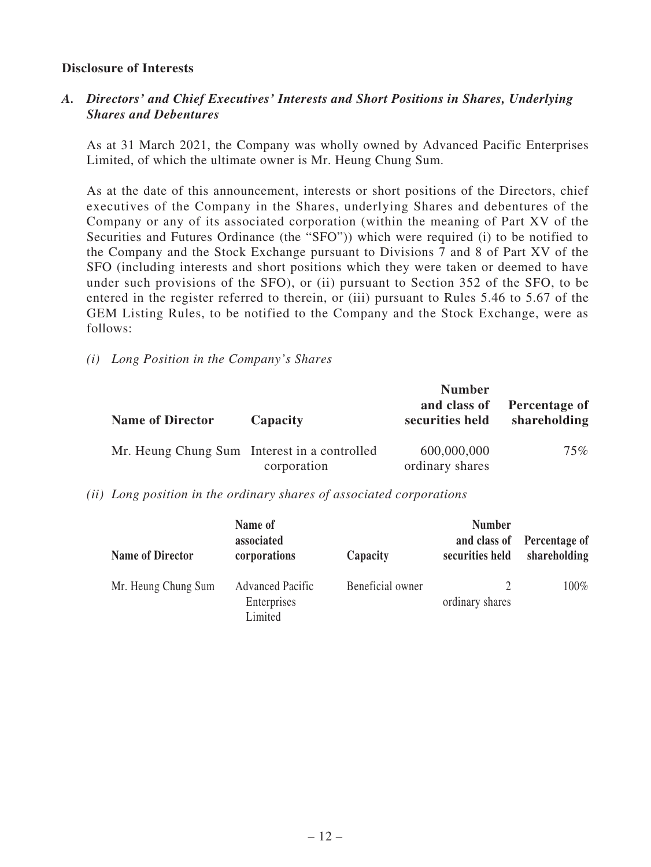### **Disclosure of Interests**

## *A. Directors' and Chief Executives' Interests and Short Positions in Shares, Underlying Shares and Debentures*

As at 31 March 2021, the Company was wholly owned by Advanced Pacific Enterprises Limited, of which the ultimate owner is Mr. Heung Chung Sum.

As at the date of this announcement, interests or short positions of the Directors, chief executives of the Company in the Shares, underlying Shares and debentures of the Company or any of its associated corporation (within the meaning of Part XV of the Securities and Futures Ordinance (the "SFO")) which were required (i) to be notified to the Company and the Stock Exchange pursuant to Divisions 7 and 8 of Part XV of the SFO (including interests and short positions which they were taken or deemed to have under such provisions of the SFO), or (ii) pursuant to Section 352 of the SFO, to be entered in the register referred to therein, or (iii) pursuant to Rules 5.46 to 5.67 of the GEM Listing Rules, to be notified to the Company and the Stock Exchange, were as follows:

*(i) Long Position in the Company's Shares*

| <b>Name of Director</b>                      | Capacity    | <b>Number</b><br>and class of<br>securities held | Percentage of<br>shareholding |
|----------------------------------------------|-------------|--------------------------------------------------|-------------------------------|
| Mr. Heung Chung Sum Interest in a controlled | corporation | 600,000,000<br>ordinary shares                   | 75%                           |

*(ii) Long position in the ordinary shares of associated corporations*

| <b>Name of Director</b> | Name of<br>associated<br>corporations             | Capacity         | <b>Number</b><br>and class of<br>securities held | Percentage of<br>shareholding |
|-------------------------|---------------------------------------------------|------------------|--------------------------------------------------|-------------------------------|
| Mr. Heung Chung Sum     | <b>Advanced Pacific</b><br>Enterprises<br>Limited | Beneficial owner | ordinary shares                                  | 100%                          |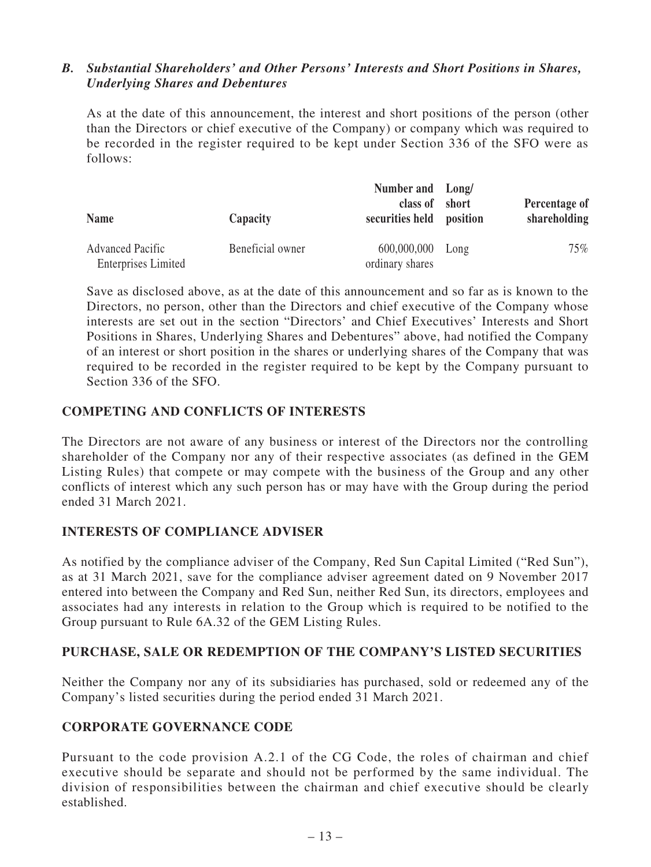## *B. Substantial Shareholders' and Other Persons' Interests and Short Positions in Shares, Underlying Shares and Debentures*

As at the date of this announcement, the interest and short positions of the person (other than the Directors or chief executive of the Company) or company which was required to be recorded in the register required to be kept under Section 336 of the SFO were as follows:

| <b>Name</b>                | Capacity         | Number and Long/<br>class of short<br>securities held position |      | Percentage of<br>shareholding |
|----------------------------|------------------|----------------------------------------------------------------|------|-------------------------------|
| <b>Advanced Pacific</b>    | Beneficial owner | 600,000,000                                                    | Long | 75%                           |
| <b>Enterprises Limited</b> |                  | ordinary shares                                                |      |                               |

Save as disclosed above, as at the date of this announcement and so far as is known to the Directors, no person, other than the Directors and chief executive of the Company whose interests are set out in the section "Directors' and Chief Executives' Interests and Short Positions in Shares, Underlying Shares and Debentures" above, had notified the Company of an interest or short position in the shares or underlying shares of the Company that was required to be recorded in the register required to be kept by the Company pursuant to Section 336 of the SFO.

## **COMPETING AND CONFLICTS OF INTERESTS**

The Directors are not aware of any business or interest of the Directors nor the controlling shareholder of the Company nor any of their respective associates (as defined in the GEM Listing Rules) that compete or may compete with the business of the Group and any other conflicts of interest which any such person has or may have with the Group during the period ended 31 March 2021.

## **INTERESTS OF COMPLIANCE ADVISER**

As notified by the compliance adviser of the Company, Red Sun Capital Limited ("Red Sun"), as at 31 March 2021, save for the compliance adviser agreement dated on 9 November 2017 entered into between the Company and Red Sun, neither Red Sun, its directors, employees and associates had any interests in relation to the Group which is required to be notified to the Group pursuant to Rule 6A.32 of the GEM Listing Rules.

### **PURCHASE, SALE OR REDEMPTION OF THE COMPANY'S LISTED SECURITIES**

Neither the Company nor any of its subsidiaries has purchased, sold or redeemed any of the Company's listed securities during the period ended 31 March 2021.

## **CORPORATE GOVERNANCE CODE**

Pursuant to the code provision A.2.1 of the CG Code, the roles of chairman and chief executive should be separate and should not be performed by the same individual. The division of responsibilities between the chairman and chief executive should be clearly established.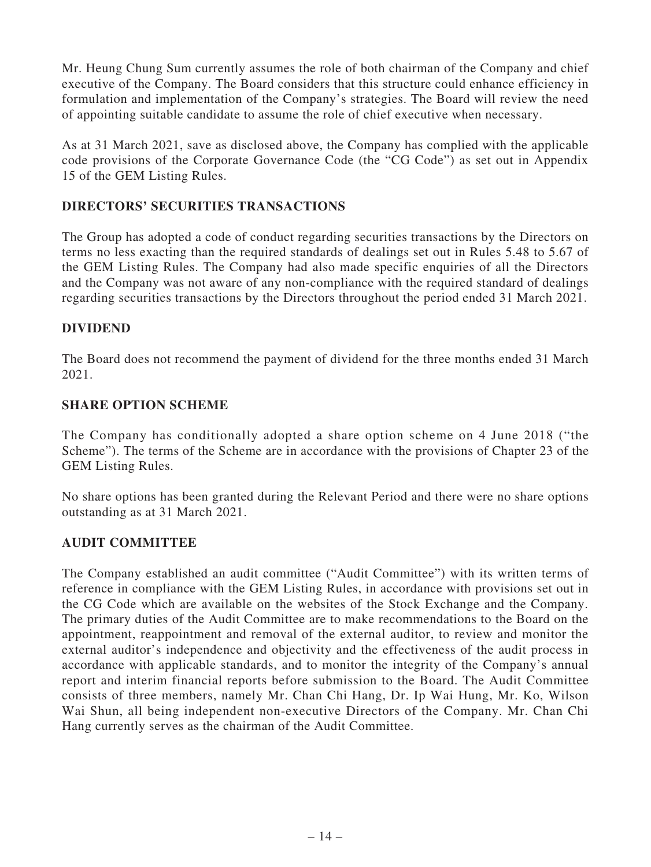Mr. Heung Chung Sum currently assumes the role of both chairman of the Company and chief executive of the Company. The Board considers that this structure could enhance efficiency in formulation and implementation of the Company's strategies. The Board will review the need of appointing suitable candidate to assume the role of chief executive when necessary.

As at 31 March 2021, save as disclosed above, the Company has complied with the applicable code provisions of the Corporate Governance Code (the "CG Code") as set out in Appendix 15 of the GEM Listing Rules.

## **DIRECTORS' SECURITIES TRANSACTIONS**

The Group has adopted a code of conduct regarding securities transactions by the Directors on terms no less exacting than the required standards of dealings set out in Rules 5.48 to 5.67 of the GEM Listing Rules. The Company had also made specific enquiries of all the Directors and the Company was not aware of any non-compliance with the required standard of dealings regarding securities transactions by the Directors throughout the period ended 31 March 2021.

## **DIVIDEND**

The Board does not recommend the payment of dividend for the three months ended 31 March 2021.

## **SHARE OPTION SCHEME**

The Company has conditionally adopted a share option scheme on 4 June 2018 ("the Scheme"). The terms of the Scheme are in accordance with the provisions of Chapter 23 of the GEM Listing Rules.

No share options has been granted during the Relevant Period and there were no share options outstanding as at 31 March 2021.

### **AUDIT COMMITTEE**

The Company established an audit committee ("Audit Committee") with its written terms of reference in compliance with the GEM Listing Rules, in accordance with provisions set out in the CG Code which are available on the websites of the Stock Exchange and the Company. The primary duties of the Audit Committee are to make recommendations to the Board on the appointment, reappointment and removal of the external auditor, to review and monitor the external auditor's independence and objectivity and the effectiveness of the audit process in accordance with applicable standards, and to monitor the integrity of the Company's annual report and interim financial reports before submission to the Board. The Audit Committee consists of three members, namely Mr. Chan Chi Hang, Dr. Ip Wai Hung, Mr. Ko, Wilson Wai Shun, all being independent non-executive Directors of the Company. Mr. Chan Chi Hang currently serves as the chairman of the Audit Committee.